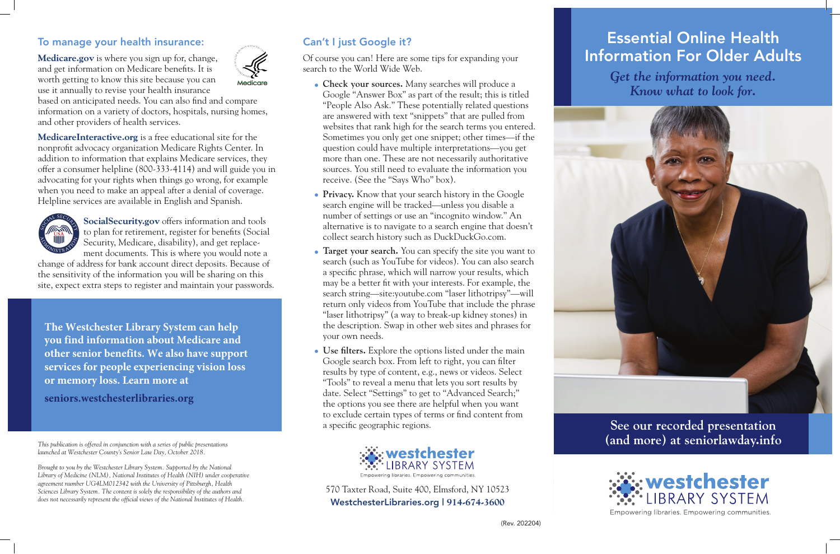#### To manage your health insurance:

**Medicare.gov** is where you sign up for, change, and get information on Medicare benefits. It is worth getting to know this site because you can use it annually to revise your health insurance



based on anticipated needs. You can also find and compare information on a variety of doctors, hospitals, nursing homes, and other providers of health services.

**MedicareInteractive.org** is a free educational site for the nonprofit advocacy organization Medicare Rights Center. In addition to information that explains Medicare services, they offer a consumer helpline (800-333-4114) and will guide you in advocating for your rights when things go wrong, for example when you need to make an appeal after a denial of coverage. Helpline services are available in English and Spanish.



**SocialSecurity.gov** offers information and tools to plan for retirement, register for benefits (Social Security, Medicare, disability), and get replacement documents. This is where you would note a

change of address for bank account direct deposits. Because of the sensitivity of the information you will be sharing on this site, expect extra steps to register and maintain your passwords.

#### Can't I just Google it?

Of course you can! Here are some tips for expanding your search to the World Wide Web.

*Brought to you by the Westchester Library System. Supported by the National Library of Medicine (NLM), National Institutes of Health (NIH) under cooperative agreement number UG4LM012342 with the University of Pittsburgh, Health Sciences Library System. The content is solely the responsibility of the authors and does not necessarily represent the official views of the National Institutes of Health.*

- **Check your sources.** Many searches will produce a Google "Answer Box" as part of the result; this is titled "People Also Ask." These potentially related questions are answered with text "snippets" that are pulled from websites that rank high for the search terms you entered. Sometimes you only get one snippet; other times—if the question could have multiple interpretations—you get more than one. These are not necessarily authoritative sources. You still need to evaluate the information you receive. (See the "Says Who" box).
- **Privacy.** Know that your search history in the Google search engine will be tracked—unless you disable a number of settings or use an "incognito window." An alternative is to navigate to a search engine that doesn't collect search history such as DuckDuckGo.com.
- **Target your search.** You can specify the site you want to search (such as YouTube for videos). You can also search a specific phrase, which will narrow your results, which may be a better fit with your interests. For example, the search string—site:youtube.com "laser lithotripsy"—will return only videos from YouTube that include the phrase "laser lithotripsy" (a way to break-up kidney stones) in the description. Swap in other web sites and phrases for your own needs.
- **Use filters.** Explore the options listed under the main Google search box. From left to right, you can filter results by type of content, e.g., news or videos. Select "Tools" to reveal a menu that lets you sort results by date. Select "Settings" to get to "Advanced Search;" the options you see there are helpful when you want to exclude certain types of terms or find content from a specific geographic regions.



## Essential Online Health Information For Older Adults

*Get the information you need. Know what to look for.*



**See our recorded presentation (and more) at seniorlawday.info**



570 Taxter Road, Suite 400, Elmsford, NY 10523 WestchesterLibraries.org | **914-674-3600**

*This publication is offered in conjunction with a series of public presentations launched at Westchester County's Senior Law Day, October 2018.* 

**The Westchester Library System can help you find information about Medicare and other senior benefits. We also have support services for people experiencing vision loss or memory loss. Learn more at** 

**seniors.westchesterlibraries.org**